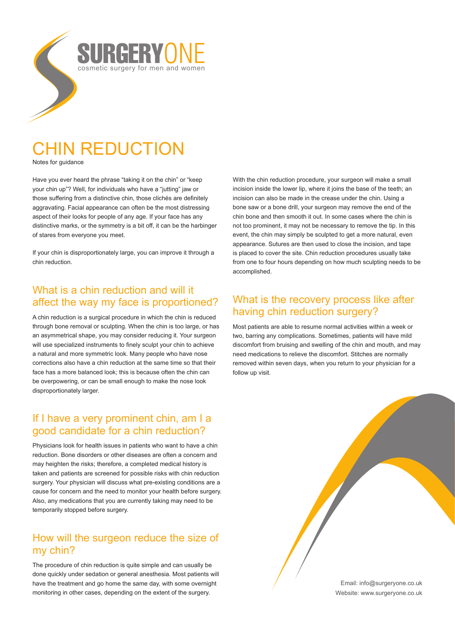

# CHIN REDUCTION

Notes for guidance

Have you ever heard the phrase "taking it on the chin" or "keep your chin up"? Well, for individuals who have a "jutting" jaw or those suffering from a distinctive chin, those clichés are definitely aggravating. Facial appearance can often be the most distressing aspect of their looks for people of any age. If your face has any distinctive marks, or the symmetry is a bit off, it can be the harbinger of stares from everyone you meet.

If your chin is disproportionately large, you can improve it through a chin reduction.

### What is a chin reduction and will it affect the way my face is proportioned?

A chin reduction is a surgical procedure in which the chin is reduced through bone removal or sculpting. When the chin is too large, or has an asymmetrical shape, you may consider reducing it. Your surgeon will use specialized instruments to finely sculpt your chin to achieve a natural and more symmetric look. Many people who have nose corrections also have a chin reduction at the same time so that their face has a more balanced look; this is because often the chin can be overpowering, or can be small enough to make the nose look disproportionately larger.

## If I have a very prominent chin, am I a good candidate for a chin reduction?

Physicians look for health issues in patients who want to have a chin reduction. Bone disorders or other diseases are often a concern and may heighten the risks; therefore, a completed medical history is taken and patients are screened for possible risks with chin reduction surgery. Your physician will discuss what pre-existing conditions are a cause for concern and the need to monitor your health before surgery. Also, any medications that you are currently taking may need to be temporarily stopped before surgery.

### How will the surgeon reduce the size of my chin?

The procedure of chin reduction is quite simple and can usually be done quickly under sedation or general anesthesia. Most patients will have the treatment and go home the same day, with some overnight monitoring in other cases, depending on the extent of the surgery.

With the chin reduction procedure, your surgeon will make a small incision inside the lower lip, where it joins the base of the teeth; an incision can also be made in the crease under the chin. Using a bone saw or a bone drill, your surgeon may remove the end of the chin bone and then smooth it out. In some cases where the chin is not too prominent, it may not be necessary to remove the tip. In this event, the chin may simply be sculpted to get a more natural, even appearance. Sutures are then used to close the incision, and tape is placed to cover the site. Chin reduction procedures usually take from one to four hours depending on how much sculpting needs to be accomplished.

# What is the recovery process like after having chin reduction surgery?

Most patients are able to resume normal activities within a week or two, barring any complications. Sometimes, patients will have mild discomfort from bruising and swelling of the chin and mouth, and may need medications to relieve the discomfort. Stitches are normally removed within seven days, when you return to your physician for a follow up visit.